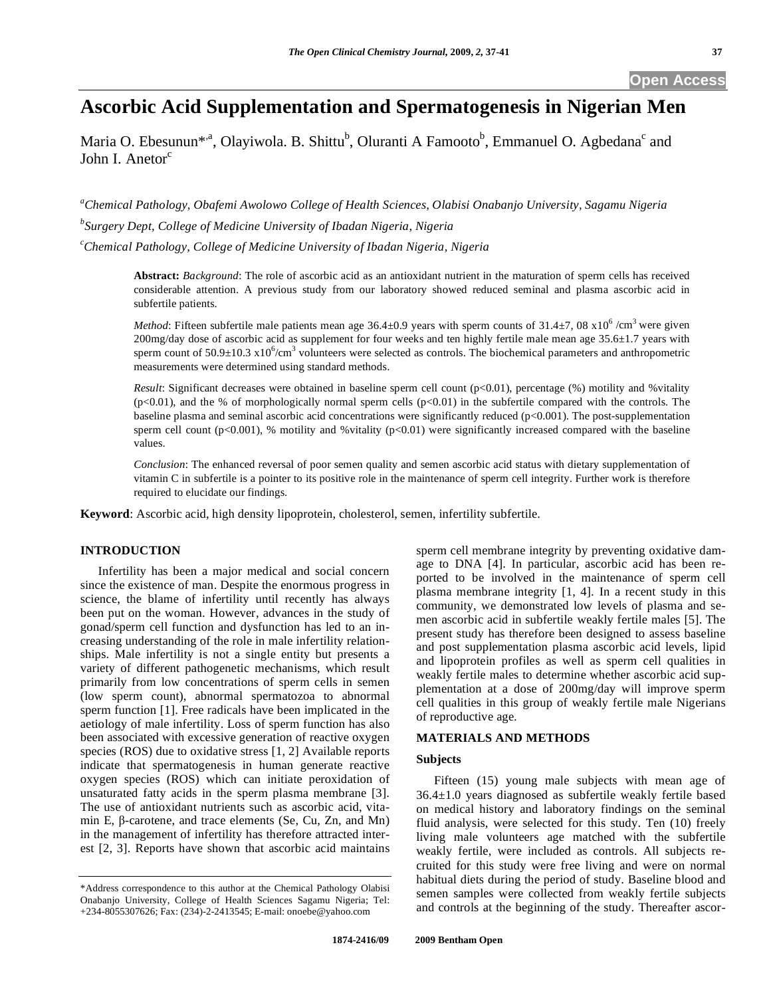# **Ascorbic Acid Supplementation and Spermatogenesis in Nigerian Men**

Maria O. Ebesunun<sup>\*,a</sup>, Olayiwola. B. Shittu<sup>b</sup>, Oluranti A Famooto<sup>b</sup>, Emmanuel O. Agbedana<sup>c</sup> and John I. Anetor $<sup>c</sup>$ </sup>

*a Chemical Pathology, Obafemi Awolowo College of Health Sciences, Olabisi Onabanjo University, Sagamu Nigeria* 

*b Surgery Dept, College of Medicine University of Ibadan Nigeria, Nigeria* 

*c Chemical Pathology, College of Medicine University of Ibadan Nigeria, Nigeria* 

**Abstract:** *Background*: The role of ascorbic acid as an antioxidant nutrient in the maturation of sperm cells has received considerable attention. A previous study from our laboratory showed reduced seminal and plasma ascorbic acid in subfertile patients.

*Method*: Fifteen subfertile male patients mean age  $36.4 \pm 0.9$  years with sperm counts of  $31.4 \pm 7$ , 08  $\times 10^6$  /cm<sup>3</sup> were given  $200$ mg/day dose of ascorbic acid as supplement for four weeks and ten highly fertile male mean age  $35.6\pm1.7$  years with sperm count of  $50.9 \pm 10.3 \times 10^6$ /cm<sup>3</sup> volunteers were selected as controls. The biochemical parameters and anthropometric measurements were determined using standard methods.

*Result*: Significant decreases were obtained in baseline sperm cell count (p<0.01), percentage (%) motility and %vitality  $(p<0.01)$ , and the % of morphologically normal sperm cells  $(p<0.01)$  in the subfertile compared with the controls. The baseline plasma and seminal ascorbic acid concentrations were significantly reduced (p<0.001). The post-supplementation sperm cell count (p<0.001), % motility and %vitality (p<0.01) were significantly increased compared with the baseline values.

*Conclusion*: The enhanced reversal of poor semen quality and semen ascorbic acid status with dietary supplementation of vitamin C in subfertile is a pointer to its positive role in the maintenance of sperm cell integrity. Further work is therefore required to elucidate our findings.

**Keyword**: Ascorbic acid, high density lipoprotein, cholesterol, semen, infertility subfertile.

# **INTRODUCTION**

 Infertility has been a major medical and social concern since the existence of man. Despite the enormous progress in science, the blame of infertility until recently has always been put on the woman. However, advances in the study of gonad/sperm cell function and dysfunction has led to an increasing understanding of the role in male infertility relationships. Male infertility is not a single entity but presents a variety of different pathogenetic mechanisms, which result primarily from low concentrations of sperm cells in semen (low sperm count), abnormal spermatozoa to abnormal sperm function [1]. Free radicals have been implicated in the aetiology of male infertility. Loss of sperm function has also been associated with excessive generation of reactive oxygen species (ROS) due to oxidative stress [1, 2] Available reports indicate that spermatogenesis in human generate reactive oxygen species (ROS) which can initiate peroxidation of unsaturated fatty acids in the sperm plasma membrane [3]. The use of antioxidant nutrients such as ascorbic acid, vitamin E,  $\beta$ -carotene, and trace elements (Se, Cu, Zn, and Mn) in the management of infertility has therefore attracted interest [2, 3]. Reports have shown that ascorbic acid maintains

sperm cell membrane integrity by preventing oxidative damage to DNA [4]. In particular, ascorbic acid has been reported to be involved in the maintenance of sperm cell plasma membrane integrity [1, 4].In a recent study in this community, we demonstrated low levels of plasma and semen ascorbic acid in subfertile weakly fertile males [5]. The present study has therefore been designed to assess baseline and post supplementation plasma ascorbic acid levels, lipid and lipoprotein profiles as well as sperm cell qualities in weakly fertile males to determine whether ascorbic acid supplementation at a dose of 200mg/day will improve sperm cell qualities in this group of weakly fertile male Nigerians of reproductive age.

# **MATERIALS AND METHODS**

# **Subjects**

 Fifteen (15) young male subjects with mean age of 36.4±1.0 years diagnosed as subfertile weakly fertile based on medical history and laboratory findings on the seminal fluid analysis, were selected for this study. Ten (10) freely living male volunteers age matched with the subfertile weakly fertile, were included as controls. All subjects recruited for this study were free living and were on normal habitual diets during the period of study. Baseline blood and semen samples were collected from weakly fertile subjects and controls at the beginning of the study. Thereafter ascor-

<sup>\*</sup>Address correspondence to this author at the Chemical Pathology Olabisi Onabanjo University, College of Health Sciences Sagamu Nigeria; Tel: +234-8055307626; Fax: (234)-2-2413545; E-mail: onoebe@yahoo.com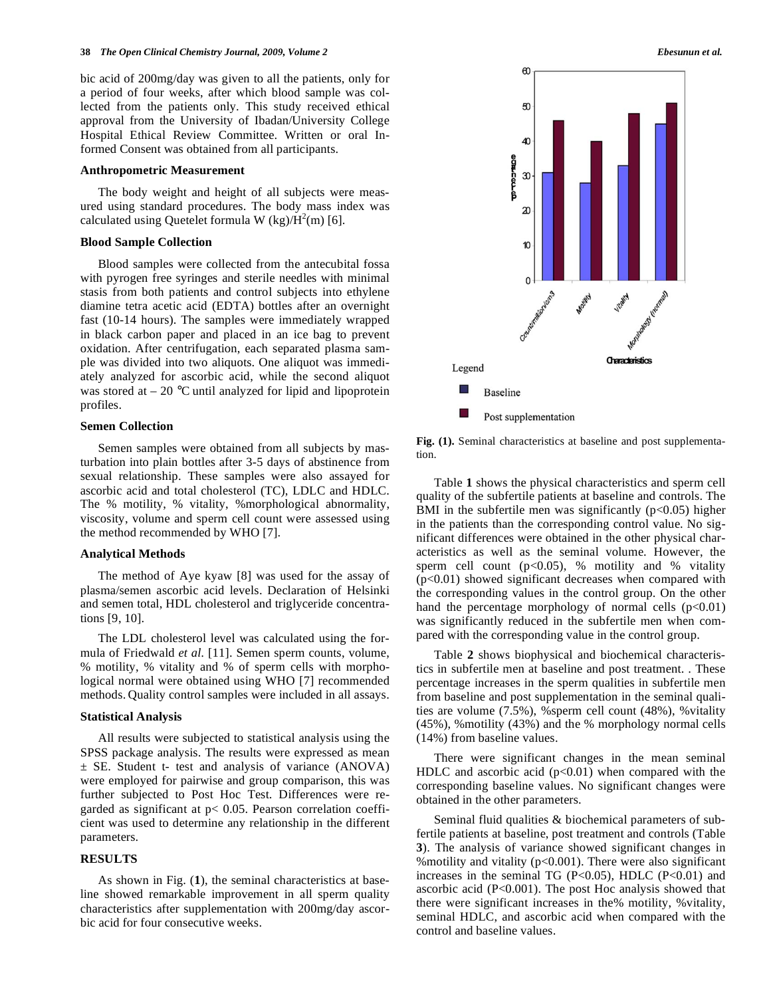bic acid of 200mg/day was given to all the patients, only for a period of four weeks, after which blood sample was collected from the patients only. This study received ethical approval from the University of Ibadan/University College Hospital Ethical Review Committee. Written or oral Informed Consent was obtained from all participants.

#### **Anthropometric Measurement**

 The body weight and height of all subjects were measured using standard procedures. The body mass index was calculated using Quetelet formula W  $(kg)/\dot{H}^2(m)$  [6].

# **Blood Sample Collection**

 Blood samples were collected from the antecubital fossa with pyrogen free syringes and sterile needles with minimal stasis from both patients and control subjects into ethylene diamine tetra acetic acid (EDTA) bottles after an overnight fast (10-14 hours). The samples were immediately wrapped in black carbon paper and placed in an ice bag to prevent oxidation. After centrifugation, each separated plasma sample was divided into two aliquots. One aliquot was immediately analyzed for ascorbic acid, while the second aliquot was stored at  $-20$  °C until analyzed for lipid and lipoprotein profiles.

# **Semen Collection**

 Semen samples were obtained from all subjects by masturbation into plain bottles after 3-5 days of abstinence from sexual relationship. These samples were also assayed for ascorbic acid and total cholesterol (TC), LDLC and HDLC. The % motility, % vitality, %morphological abnormality, viscosity, volume and sperm cell count were assessed using the method recommended by WHO [7].

# **Analytical Methods**

 The method of Aye kyaw [8] was used for the assay of plasma/semen ascorbic acid levels. Declaration of Helsinki and semen total, HDL cholesterol and triglyceride concentrations [9, 10].

 The LDL cholesterol level was calculated using the formula of Friedwald *et al.* [11]. Semen sperm counts, volume, % motility, % vitality and % of sperm cells with morphological normal were obtained using WHO [7] recommended methods. Quality control samples were included in all assays.

#### **Statistical Analysis**

 All results were subjected to statistical analysis using the SPSS package analysis. The results were expressed as mean  $\pm$  SE. Student t- test and analysis of variance (ANOVA) were employed for pairwise and group comparison, this was further subjected to Post Hoc Test. Differences were regarded as significant at  $p$ < 0.05. Pearson correlation coefficient was used to determine any relationship in the different parameters.

# **RESULTS**

 As shown in Fig. (**1**), the seminal characteristics at baseline showed remarkable improvement in all sperm quality characteristics after supplementation with 200mg/day ascorbic acid for four consecutive weeks.



**Fig. (1).** Seminal characteristics at baseline and post supplementation.

 Table **1** shows the physical characteristics and sperm cell quality of the subfertile patients at baseline and controls. The BMI in the subfertile men was significantly  $(p<0.05)$  higher in the patients than the corresponding control value. No significant differences were obtained in the other physical characteristics as well as the seminal volume. However, the sperm cell count  $(p<0.05)$ , % motility and % vitality (p<0.01) showed significant decreases when compared with the corresponding values in the control group. On the other hand the percentage morphology of normal cells  $(p<0.01)$ was significantly reduced in the subfertile men when compared with the corresponding value in the control group.

 Table **2** shows biophysical and biochemical characteristics in subfertile men at baseline and post treatment. . These percentage increases in the sperm qualities in subfertile men from baseline and post supplementation in the seminal qualities are volume (7.5%), %sperm cell count (48%), %vitality (45%), %motility (43%) and the % morphology normal cells (14%) from baseline values.

 There were significant changes in the mean seminal HDLC and ascorbic acid  $(p<0.01)$  when compared with the corresponding baseline values. No significant changes were obtained in the other parameters.

Seminal fluid qualities & biochemical parameters of subfertile patients at baseline, post treatment and controls (Table **3**). The analysis of variance showed significant changes in %motility and vitality (p<0.001). There were also significant increases in the seminal TG (P<0.05), HDLC (P<0.01) and ascorbic acid  $(P<0.001)$ . The post Hoc analysis showed that there were significant increases in the% motility, %vitality, seminal HDLC, and ascorbic acid when compared with the control and baseline values.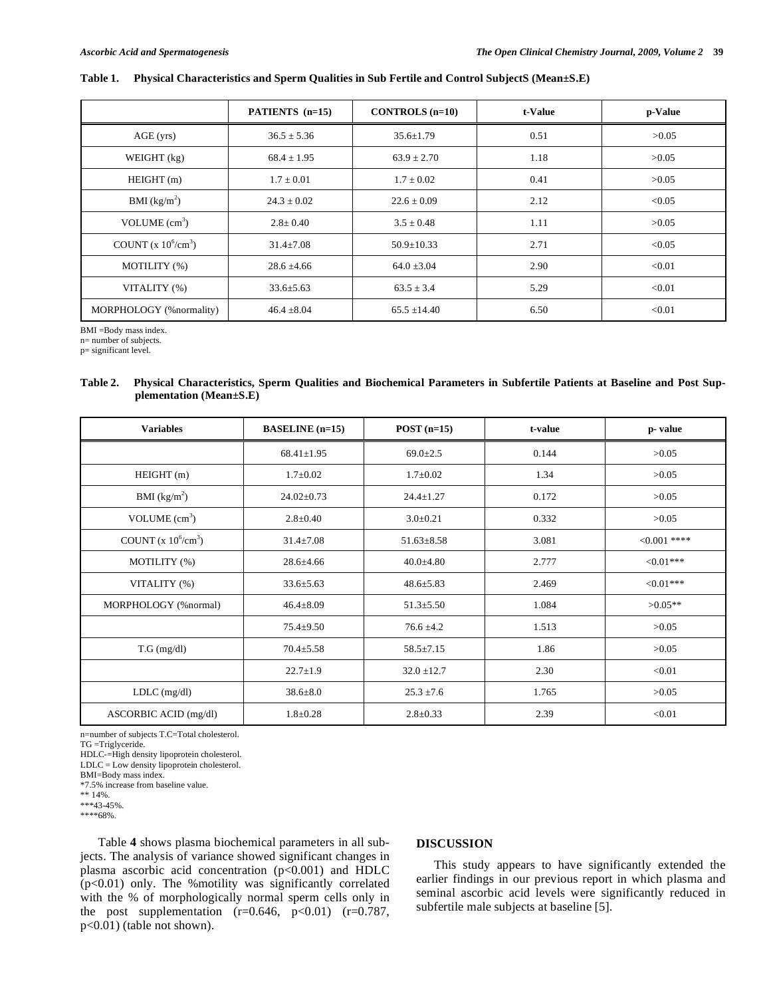# **Table 1. Physical Characteristics and Sperm Qualities in Sub Fertile and Control SubjectS (Mean±S.E)**

|                          | PATIENTS (n=15) | CONTROLS $(n=10)$ | t-Value | p-Value |
|--------------------------|-----------------|-------------------|---------|---------|
| AGE (yrs)                | $36.5 \pm 5.36$ | $35.6 \pm 1.79$   | 0.51    | >0.05   |
| WEIGHT $(kg)$            | $68.4 \pm 1.95$ | $63.9 \pm 2.70$   | 1.18    | >0.05   |
| HEIGHT(m)                | $1.7 \pm 0.01$  | $1.7 \pm 0.02$    | 0.41    | >0.05   |
| BMI (kg/m <sup>2</sup> ) | $24.3 \pm 0.02$ | $22.6 \pm 0.09$   | 2.12    | < 0.05  |
| VOLUME $(cm3)$           | $2.8 \pm 0.40$  | $3.5 \pm 0.48$    | 1.11    | >0.05   |
| COUNT $(x 10^6/cm^3)$    | $31.4 \pm 7.08$ | $50.9 \pm 10.33$  | 2.71    | < 0.05  |
| MOTILITY (%)             | $28.6 \pm 4.66$ | $64.0 \pm 3.04$   | 2.90    | < 0.01  |
| VITALITY (%)             | $33.6 \pm 5.63$ | $63.5 \pm 3.4$    | 5.29    | < 0.01  |
| MORPHOLOGY (%normality)  | $46.4 \pm 8.04$ | $65.5 \pm 14.40$  | 6.50    | < 0.01  |

BMI =Body mass index.

n= number of subjects.

p= significant level.

**Table 2. Physical Characteristics, Sperm Qualities and Biochemical Parameters in Subfertile Patients at Baseline and Post Supplementation (Mean±S.E)** 

| <b>Variables</b>         | <b>BASELINE</b> (n=15) | $POST(n=15)$     | t-value | p-value        |  |
|--------------------------|------------------------|------------------|---------|----------------|--|
|                          | $68.41 \pm 1.95$       | $69.0 \pm 2.5$   | 0.144   | >0.05          |  |
| HEIGHT(m)                | $1.7 \pm 0.02$         | $1.7 \pm 0.02$   | 1.34    | >0.05          |  |
| BMI (kg/m <sup>2</sup> ) | $24.02 \pm 0.73$       | $24.4 \pm 1.27$  | 0.172   | >0.05          |  |
| VOLUME $(cm3)$           | $2.8 \pm 0.40$         | $3.0 \pm 0.21$   | 0.332   | >0.05          |  |
| COUNT $(x 10^6/cm^3)$    | $31.4 \pm 7.08$        | $51.63 \pm 8.58$ | 3.081   | $< 0.001$ **** |  |
| MOTILITY (%)             | $28.6 + 4.66$          | $40.0 + 4.80$    | 2.777   | ${<}0.01***$   |  |
| VITALITY (%)             | $33.6 \pm 5.63$        | $48.6 \pm 5.83$  | 2.469   | ${<}0.01***$   |  |
| MORPHOLOGY (%normal)     | $46.4 \pm 8.09$        | $51.3 \pm 5.50$  | 1.084   | $>0.05**$      |  |
|                          | $75.4 \pm 9.50$        | $76.6 \pm 4.2$   | 1.513   | >0.05          |  |
| $T.G$ (mg/dl)            | $70.4 \pm 5.58$        | $58.5 \pm 7.15$  | 1.86    | >0.05          |  |
|                          | $22.7 \pm 1.9$         | $32.0 \pm 12.7$  | 2.30    | < 0.01         |  |
| $LDLC$ (mg/dl)           | $38.6 \pm 8.0$         | $25.3 \pm 7.6$   | 1.765   | >0.05          |  |
| ASCORBIC ACID (mg/dl)    | $1.8 \pm 0.28$         | $2.8 \pm 0.33$   | 2.39    | < 0.01         |  |

n=number of subjects T.C=Total cholesterol.

TG =Triglyceride.

HDLC-=High density lipoprotein cholesterol.

 $LDLC = Low density lipoprotein cholesterol.$ 

BMI=Body mass index.

\*7.5% increase from baseline value. \*\* 14%.

\*\*\*43-45%. \*\*\*\*68%.

 Table **4** shows plasma biochemical parameters in all subjects. The analysis of variance showed significant changes in plasma ascorbic acid concentration (p<0.001) and HDLC (p<0.01) only. The %motility was significantly correlated with the % of morphologically normal sperm cells only in the post supplementation  $(r=0.646, p<0.01)$   $(r=0.787,$ p<0.01) (table not shown).

# **DISCUSSION**

 This study appears to have significantly extended the earlier findings in our previous report in which plasma and seminal ascorbic acid levels were significantly reduced in subfertile male subjects at baseline [5].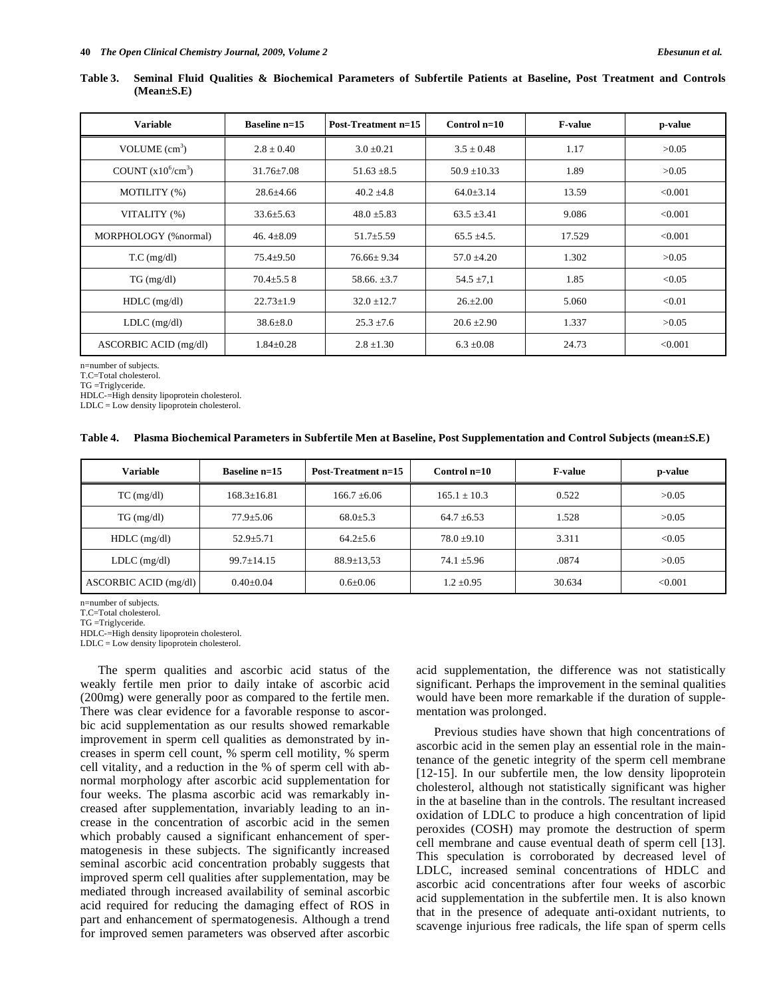| Table 3. Seminal Fluid Qualities & Biochemical Parameters of Subfertile Patients at Baseline, Post Treatment and Controls |  |  |  |  |  |  |  |
|---------------------------------------------------------------------------------------------------------------------------|--|--|--|--|--|--|--|
| $(Mean \pm S.E)$                                                                                                          |  |  |  |  |  |  |  |

| <b>Variable</b>       | Baseline $n=15$  | <b>Post-Treatment n=15</b> | Control $n=10$   | <b>F-value</b> | p-value |
|-----------------------|------------------|----------------------------|------------------|----------------|---------|
| VOLUME $(cm3)$        | $2.8 \pm 0.40$   | $3.0 \pm 0.21$             | $3.5 \pm 0.48$   | 1.17           | >0.05   |
| COUNT $(x10^6/cm^3)$  | $31.76 \pm 7.08$ | $51.63 \pm 8.5$            | $50.9 \pm 10.33$ | 1.89           | >0.05   |
| MOTILITY (%)          | $28.6 \pm 4.66$  | $40.2 \pm 4.8$             | $64.0 \pm 3.14$  | 13.59          | < 0.001 |
| VITALITY (%)          | $33.6 \pm 5.63$  | $48.0 \pm 5.83$            | $63.5 \pm 3.41$  | 9.086          | < 0.001 |
| MORPHOLOGY (%normal)  | 46.4 $\pm$ 8.09  | $51.7 \pm 5.59$            | $65.5 \pm 4.5$ . | 17.529         | < 0.001 |
| $T.C$ (mg/dl)         | $75.4 \pm 9.50$  | $76.66 \pm 9.34$           | $57.0 \pm 4.20$  | 1.302          | >0.05   |
| $TG \, (mg/dl)$       | $70.4 \pm 5.58$  | $58.66 \pm 3.7$            | $54.5 \pm 7.1$   | 1.85           | < 0.05  |
| $HDLC$ (mg/dl)        | $22.73 \pm 1.9$  | $32.0 \pm 12.7$            | $26. \pm 2.00$   | 5.060          | < 0.01  |
| $LDLC$ (mg/dl)        | $38.6 \pm 8.0$   | $25.3 \pm 7.6$             | $20.6 \pm 2.90$  | 1.337          | >0.05   |
| ASCORBIC ACID (mg/dl) | $1.84 \pm 0.28$  | $2.8 \pm 1.30$             | $6.3 \pm 0.08$   | 24.73          | < 0.001 |

n=number of subjects.

T.C=Total cholesterol.

TG =Triglyceride.

HDLC-=High density lipoprotein cholesterol.

LDLC = Low density lipoprotein cholesterol.

#### **Table 4. Plasma Biochemical Parameters in Subfertile Men at Baseline, Post Supplementation and Control Subjects (mean±S.E)**

| <b>Variable</b>       | Baseline $n=15$   | Post-Treatment n=15 | Control $n=10$   | <b>F-value</b> | p-value |
|-----------------------|-------------------|---------------------|------------------|----------------|---------|
| $TC$ (mg/dl)          | $168.3 \pm 16.81$ | $166.7 \pm 6.06$    | $165.1 \pm 10.3$ | 0.522          | >0.05   |
| $TG \, (mg/dl)$       | $77.9 + 5.06$     | $68.0 \pm 5.3$      | $64.7 \pm 6.53$  | 1.528          | >0.05   |
| $HDLC$ (mg/dl)        | $52.9 \pm 5.71$   | $64.2 \pm 5.6$      | $78.0 + 9.10$    | 3.311          | < 0.05  |
| $LDLC$ (mg/dl)        | $99.7 \pm 14.15$  | $88.9 \pm 13.53$    | $74.1 \pm 5.96$  | .0874          | >0.05   |
| ASCORBIC ACID (mg/dl) | $0.40 \pm 0.04$   | $0.6 \pm 0.06$      | $1.2 \pm 0.95$   | 30.634         | < 0.001 |

n=number of subjects.

T.C=Total cholesterol.

TG =Triglyceride.

HDLC-=High density lipoprotein cholesterol.

LDLC = Low density lipoprotein cholesterol.

 The sperm qualities and ascorbic acid status of the weakly fertile men prior to daily intake of ascorbic acid (200mg) were generally poor as compared to the fertile men. There was clear evidence for a favorable response to ascorbic acid supplementation as our results showed remarkable improvement in sperm cell qualities as demonstrated by increases in sperm cell count, % sperm cell motility, % sperm cell vitality, and a reduction in the % of sperm cell with abnormal morphology after ascorbic acid supplementation for four weeks. The plasma ascorbic acid was remarkably increased after supplementation, invariably leading to an increase in the concentration of ascorbic acid in the semen which probably caused a significant enhancement of spermatogenesis in these subjects. The significantly increased seminal ascorbic acid concentration probably suggests that improved sperm cell qualities after supplementation, may be mediated through increased availability of seminal ascorbic acid required for reducing the damaging effect of ROS in part and enhancement of spermatogenesis. Although a trend for improved semen parameters was observed after ascorbic

acid supplementation, the difference was not statistically significant. Perhaps the improvement in the seminal qualities would have been more remarkable if the duration of supplementation was prolonged.

 Previous studies have shown that high concentrations of ascorbic acid in the semen play an essential role in the maintenance of the genetic integrity of the sperm cell membrane [12-15]. In our subfertile men, the low density lipoprotein cholesterol, although not statistically significant was higher in the at baseline than in the controls. The resultant increased oxidation of LDLC to produce a high concentration of lipid peroxides (COSH) may promote the destruction of sperm cell membrane and cause eventual death of sperm cell [13]. This speculation is corroborated by decreased level of LDLC, increased seminal concentrations of HDLC and ascorbic acid concentrations after four weeks of ascorbic acid supplementation in the subfertile men. It is also known that in the presence of adequate anti-oxidant nutrients, to scavenge injurious free radicals, the life span of sperm cells